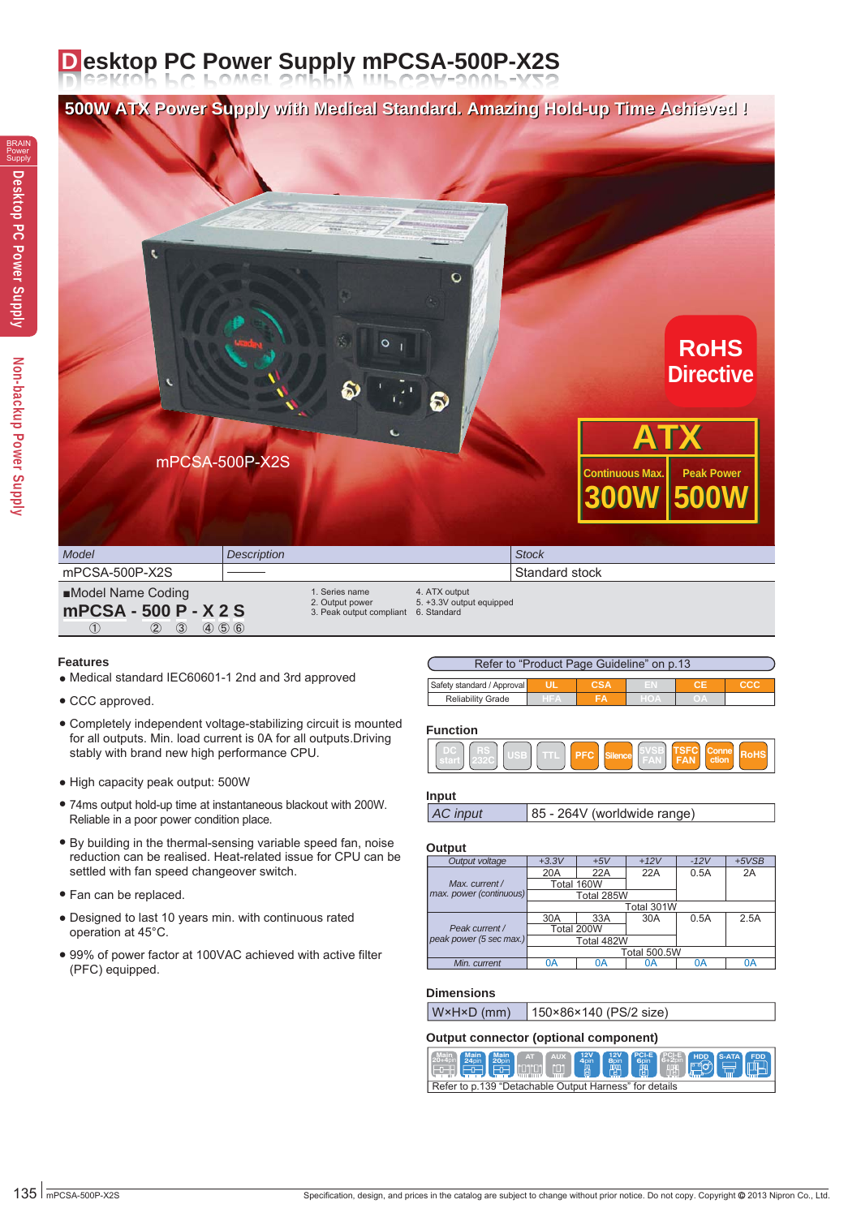# **D esktop PC Power Supply mPCSA-500P-X2S**

**500W ATX Power Supply with Medical Standard. Amazing Hold-up Time Achieved ! 500W ATX Power Supply with Medical Standard. Amazing Hold-up Time Achieved !**



| mPCSA-500P-X2S                                                                                         |                                                                          | l Standard stock                          |  |
|--------------------------------------------------------------------------------------------------------|--------------------------------------------------------------------------|-------------------------------------------|--|
| ■Model Name Coding<br><b>mPCSA - 500 P - X 2 S</b><br>$(4)$ (5) (6)<br>$\circled{3}$<br>$^{\circledR}$ | . Series name<br>2. Output power<br>3. Peak output compliant 6. Standard | 4. ATX output<br>5. +3.3V output equipped |  |

#### **Features**

- Medical standard IEC60601-1 2nd and 3rd approved
- CCC approved.
- Completely independent voltage-stabilizing circuit is mounted for all outputs. Min. load current is 0A for all outputs.Driving stably with brand new high performance CPU.
- High capacity peak output: 500W
- 74ms output hold-up time at instantaneous blackout with 200W. Reliable in a poor power condition place.
- By building in the thermal-sensing variable speed fan, noise reduction can be realised. Heat-related issue for CPU can be settled with fan speed changeover switch.
- Fan can be replaced.
- Designed to last 10 years min. with continuous rated operation at 45°C.
- 99% of power factor at 100VAC achieved with active filter (PFC) equipped.

| Refer to "Product Page Guideline" on p.13 |      |            |     |      |     |  |  |
|-------------------------------------------|------|------------|-----|------|-----|--|--|
| Safety standard / Approval                |      | <b>CSA</b> |     |      | ccc |  |  |
| <b>Reliability Grade</b>                  | - FA | FΑ         | HOA | OJA. |     |  |  |

#### **Function**



#### **Input**

```
AC input 85 - 264V (worldwide range)
```
#### **Output**

| Output voltage          | $+3.3V$    | $+5V$               | $+12V$     | $-12V$ | $+5VSB$ |
|-------------------------|------------|---------------------|------------|--------|---------|
|                         | 20A        | 22A                 | 22A        | 0.5A   | 2A      |
| Max. current /          | Total 160W |                     |            |        |         |
| max. power (continuous) |            | Total 285W          |            |        |         |
|                         |            |                     | Total 301W |        |         |
|                         | 30A        | 33A                 | 30A        | 0.5A   | 2.5A    |
| Peak current /          |            | Total 200W          |            |        |         |
| peak power (5 sec max.) |            | Total 482W          |            |        |         |
|                         |            | <b>Total 500.5W</b> |            |        |         |
| Min. current            | 0A         | 0Α                  | 0Α         | 0A     | 0А      |

#### **Dimensions**

W×H×D (mm) 150×86×140 (PS/2 size)

#### **Output connector (optional component)**

| <b>EDELL EDELL SEE REAL FRAME DE REAL FRAME DE REAL FRAME DE REAL FRAME DE REAL FRAME DE REAL FRAME DE REAL FRAME DE REAL FRAME DE REAL FRAME DE REAL FRAME DE REAL FRAME DE REAL FRAME DE REAL FRAME DE REAL FRAME DE REAL FRAM</b> |                                                        |  |  |  |  |  |  |  |  |  |  |
|--------------------------------------------------------------------------------------------------------------------------------------------------------------------------------------------------------------------------------------|--------------------------------------------------------|--|--|--|--|--|--|--|--|--|--|
|                                                                                                                                                                                                                                      | Refer to p.139 "Detachable Output Harness" for details |  |  |  |  |  |  |  |  |  |  |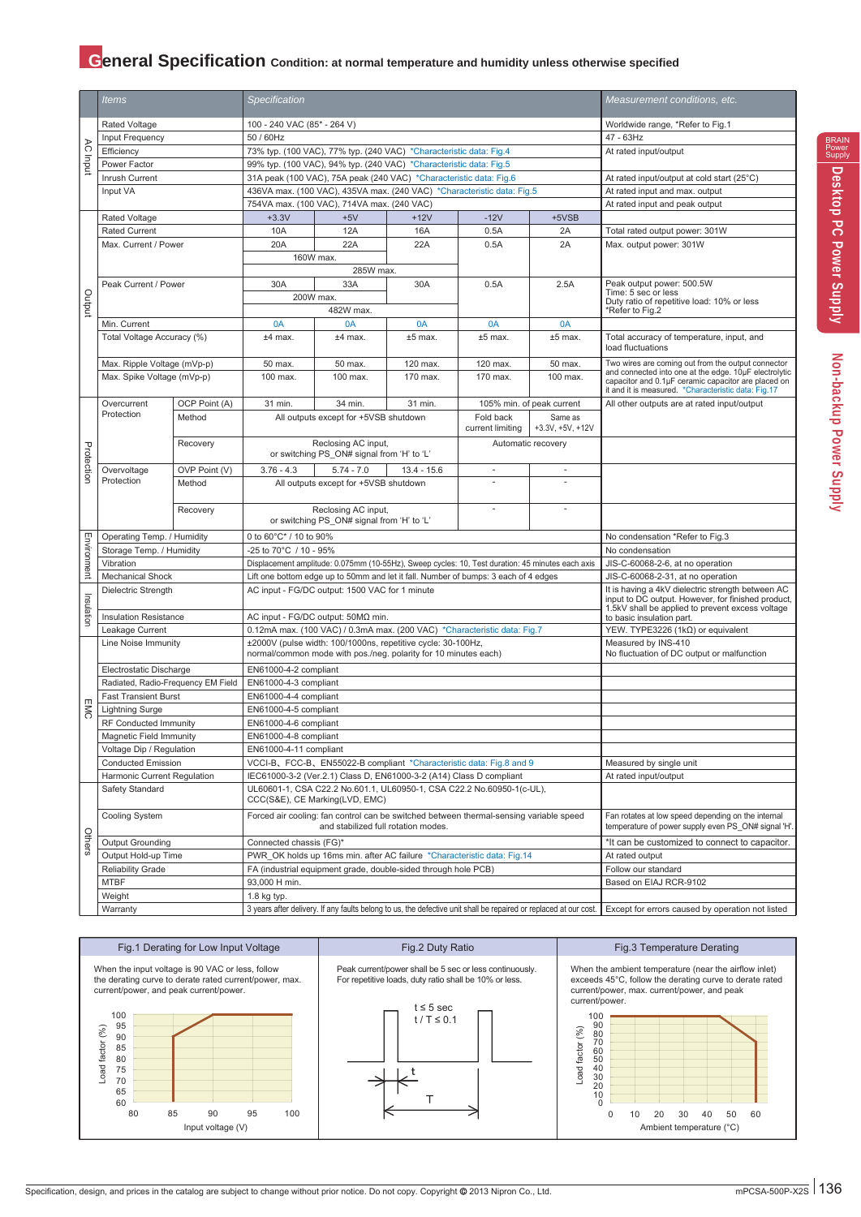## **General Specification** Condition: at normal temperature and humidity unless otherwise specified

|             | <i>Items</i>                       |               | <b>Specification</b>                                                                                                            |                                                                                                  |                                   |                                                                                                                   |                           | Measurement conditions, etc.                                                                                 |
|-------------|------------------------------------|---------------|---------------------------------------------------------------------------------------------------------------------------------|--------------------------------------------------------------------------------------------------|-----------------------------------|-------------------------------------------------------------------------------------------------------------------|---------------------------|--------------------------------------------------------------------------------------------------------------|
|             | Rated Voltage                      |               | 100 - 240 VAC (85* - 264 V)                                                                                                     |                                                                                                  |                                   |                                                                                                                   |                           | Worldwide range, *Refer to Fig.1                                                                             |
|             | Input Frequency                    |               | 50 / 60Hz                                                                                                                       |                                                                                                  |                                   |                                                                                                                   |                           | 47 - 63Hz                                                                                                    |
|             | Efficiency                         |               |                                                                                                                                 | 73% typ. (100 VAC), 77% typ. (240 VAC) *Characteristic data: Fig.4                               |                                   |                                                                                                                   |                           | At rated input/output                                                                                        |
| AC Input    | Power Factor                       |               |                                                                                                                                 | 99% typ. (100 VAC), 94% typ. (240 VAC) *Characteristic data: Fig.5                               |                                   |                                                                                                                   |                           |                                                                                                              |
|             | Inrush Current                     |               |                                                                                                                                 | 31A peak (100 VAC), 75A peak (240 VAC) *Characteristic data: Fig.6                               |                                   |                                                                                                                   |                           | At rated input/output at cold start (25°C)                                                                   |
|             | Input VA                           |               |                                                                                                                                 |                                                                                                  |                                   | 436VA max. (100 VAC), 435VA max. (240 VAC) *Characteristic data: Fig.5                                            |                           | At rated input and max. output                                                                               |
|             |                                    |               |                                                                                                                                 | 754VA max. (100 VAC), 714VA max. (240 VAC)                                                       |                                   |                                                                                                                   |                           | At rated input and peak output                                                                               |
|             | Rated Voltage                      |               | $+3.3V$                                                                                                                         | $+5V$                                                                                            | $+12V$                            | $-12V$                                                                                                            | +5VSB                     |                                                                                                              |
|             | <b>Rated Current</b>               |               | 10A                                                                                                                             | 12A                                                                                              | 16A                               | 0.5A                                                                                                              | 2A                        | Total rated output power: 301W                                                                               |
|             | Max. Current / Power               |               | 20A                                                                                                                             | 22A                                                                                              | 22A                               | 0.5A                                                                                                              | 2A                        | Max. output power: 301W                                                                                      |
|             |                                    |               | 160W max.                                                                                                                       |                                                                                                  |                                   |                                                                                                                   |                           |                                                                                                              |
|             |                                    |               |                                                                                                                                 | 285W max.                                                                                        |                                   |                                                                                                                   |                           |                                                                                                              |
|             | Peak Current / Power               |               | 30A                                                                                                                             | 33A                                                                                              | 30A                               | 0.5A                                                                                                              | 2.5A                      | Peak output power: 500.5W                                                                                    |
| putput      |                                    |               | 200W max.                                                                                                                       |                                                                                                  |                                   |                                                                                                                   |                           | Time: 5 sec or less                                                                                          |
|             |                                    |               |                                                                                                                                 | 482W max.                                                                                        |                                   |                                                                                                                   |                           | Duty ratio of repetitive load: 10% or less<br>*Refer to Fig.2                                                |
|             | Min. Current                       |               | 0A                                                                                                                              | 0A                                                                                               | 0A                                | 0A                                                                                                                | 0A                        |                                                                                                              |
|             | Total Voltage Accuracy (%)         |               | $±4$ max.                                                                                                                       | $±4$ max.                                                                                        | $±5$ max.                         | $±5$ max.                                                                                                         | $±5$ max.                 | Total accuracy of temperature, input, and                                                                    |
|             |                                    |               |                                                                                                                                 |                                                                                                  |                                   |                                                                                                                   |                           | load fluctuations                                                                                            |
|             | Max. Ripple Voltage (mVp-p)        |               | 50 max.                                                                                                                         | 50 max.                                                                                          | 120 max.                          | 120 max.                                                                                                          | 50 max.                   | Two wires are coming out from the output connector                                                           |
|             | Max. Spike Voltage (mVp-p)         |               | 100 max.                                                                                                                        | 100 max.                                                                                         | 170 max.                          | 170 max.                                                                                                          | 100 max.                  | and connected into one at the edge. 10µF electrolytic<br>capacitor and 0.1µF ceramic capacitor are placed on |
|             |                                    |               |                                                                                                                                 |                                                                                                  |                                   |                                                                                                                   |                           | it and it is measured. *Characteristic data: Fig.17                                                          |
|             | Overcurrent                        | OCP Point (A) | 31 min.                                                                                                                         | 34 min.                                                                                          | 31 min.                           |                                                                                                                   | 105% min. of peak current | All other outputs are at rated input/output                                                                  |
|             | Protection                         | Method        |                                                                                                                                 | All outputs except for +5VSB shutdown                                                            |                                   | Fold back                                                                                                         | Same as                   |                                                                                                              |
|             |                                    |               |                                                                                                                                 |                                                                                                  |                                   | current limiting                                                                                                  | $+3.3V, +5V, +12V$        |                                                                                                              |
|             |                                    | Recovery      |                                                                                                                                 | Reclosing AC input,                                                                              |                                   |                                                                                                                   | Automatic recovery        |                                                                                                              |
|             |                                    |               |                                                                                                                                 | or switching PS_ON# signal from 'H' to 'L'                                                       |                                   |                                                                                                                   |                           |                                                                                                              |
| Protection  | Overvoltage                        | OVP Point (V) | $3.76 - 4.3$                                                                                                                    | $5.74 - 7.0$                                                                                     | $13.4 - 15.6$                     | ÷.                                                                                                                |                           |                                                                                                              |
|             | Protection                         | Method        |                                                                                                                                 | All outputs except for +5VSB shutdown                                                            |                                   |                                                                                                                   |                           |                                                                                                              |
|             |                                    |               |                                                                                                                                 |                                                                                                  |                                   |                                                                                                                   |                           |                                                                                                              |
|             |                                    | Recovery      |                                                                                                                                 | Reclosing AC input,                                                                              |                                   |                                                                                                                   |                           |                                                                                                              |
|             |                                    |               |                                                                                                                                 | or switching PS ON# signal from 'H' to 'L'                                                       |                                   |                                                                                                                   |                           |                                                                                                              |
| Environment | Operating Temp. / Humidity         |               | 0 to 60°C* / 10 to 90%                                                                                                          |                                                                                                  |                                   | No condensation *Refer to Fig.3                                                                                   |                           |                                                                                                              |
|             | Storage Temp. / Humidity           |               | -25 to 70°C / 10 - 95%                                                                                                          |                                                                                                  | No condensation                   |                                                                                                                   |                           |                                                                                                              |
|             | Vibration                          |               |                                                                                                                                 | Displacement amplitude: 0.075mm (10-55Hz), Sweep cycles: 10, Test duration: 45 minutes each axis | JIS-C-60068-2-6, at no operation  |                                                                                                                   |                           |                                                                                                              |
|             | <b>Mechanical Shock</b>            |               |                                                                                                                                 | Lift one bottom edge up to 50mm and let it fall. Number of bumps: 3 each of 4 edges              | JIS-C-60068-2-31, at no operation |                                                                                                                   |                           |                                                                                                              |
|             | Dielectric Strength                |               |                                                                                                                                 | AC input - FG/DC output: 1500 VAC for 1 minute                                                   |                                   | It is having a 4kV dielectric strength between AC<br>input to DC output. However, for finished product,           |                           |                                                                                                              |
| Insulation  |                                    |               |                                                                                                                                 |                                                                                                  |                                   | 1.5kV shall be applied to prevent excess voltage                                                                  |                           |                                                                                                              |
|             | <b>Insulation Resistance</b>       |               |                                                                                                                                 | AC input - FG/DC output: 50ΜΩ min.                                                               | to basic insulation part.         |                                                                                                                   |                           |                                                                                                              |
|             | Leakage Current                    |               |                                                                                                                                 | 0.12mA max. (100 VAC) / 0.3mA max. (200 VAC) *Characteristic data: Fig.7                         |                                   | YEW. TYPE3226 (1kΩ) or equivalent                                                                                 |                           |                                                                                                              |
|             | Line Noise Immunity                |               | ±2000V (pulse width: 100/1000ns, repetitive cycle: 30-100Hz,<br>normal/common mode with pos./neg. polarity for 10 minutes each) |                                                                                                  |                                   |                                                                                                                   |                           | Measured by INS-410<br>No fluctuation of DC output or malfunction                                            |
|             |                                    |               |                                                                                                                                 |                                                                                                  |                                   |                                                                                                                   |                           |                                                                                                              |
|             | Electrostatic Discharge            |               | EN61000-4-2 compliant                                                                                                           |                                                                                                  |                                   |                                                                                                                   |                           |                                                                                                              |
|             | Radiated, Radio-Frequency EM Field |               | EN61000-4-3 compliant                                                                                                           |                                                                                                  |                                   |                                                                                                                   |                           |                                                                                                              |
|             | <b>Fast Transient Burst</b>        |               | EN61000-4-4 compliant                                                                                                           |                                                                                                  |                                   |                                                                                                                   |                           |                                                                                                              |
| <b>EMC</b>  | <b>Lightning Surge</b>             |               | EN61000-4-5 compliant                                                                                                           |                                                                                                  |                                   |                                                                                                                   |                           |                                                                                                              |
|             | <b>RF Conducted Immunity</b>       |               | EN61000-4-6 compliant                                                                                                           |                                                                                                  |                                   |                                                                                                                   |                           |                                                                                                              |
|             | Magnetic Field Immunity            |               | EN61000-4-8 compliant                                                                                                           |                                                                                                  |                                   |                                                                                                                   |                           |                                                                                                              |
|             | Voltage Dip / Regulation           |               | EN61000-4-11 compliant                                                                                                          |                                                                                                  |                                   |                                                                                                                   |                           |                                                                                                              |
|             | <b>Conducted Emission</b>          |               |                                                                                                                                 |                                                                                                  |                                   | VCCI-B、FCC-B、EN55022-B compliant *Characteristic data: Fig.8 and 9                                                |                           | Measured by single unit                                                                                      |
|             | Harmonic Current Regulation        |               |                                                                                                                                 | IEC61000-3-2 (Ver.2.1) Class D, EN61000-3-2 (A14) Class D compliant                              |                                   |                                                                                                                   |                           | At rated input/output                                                                                        |
|             | Safety Standard                    |               |                                                                                                                                 | CCC(S&E), CE Marking(LVD, EMC)                                                                   |                                   | UL60601-1, CSA C22.2 No.601.1, UL60950-1, CSA C22.2 No.60950-1(c-UL),                                             |                           |                                                                                                              |
|             | Cooling System                     |               |                                                                                                                                 |                                                                                                  |                                   |                                                                                                                   |                           | Fan rotates at low speed depending on the internal                                                           |
|             |                                    |               | Forced air cooling: fan control can be switched between thermal-sensing variable speed<br>and stabilized full rotation modes.   |                                                                                                  |                                   |                                                                                                                   |                           | temperature of power supply even PS ON# signal 'H'.                                                          |
| Others      | Output Grounding                   |               | Connected chassis (FG)*                                                                                                         |                                                                                                  |                                   |                                                                                                                   |                           | *It can be customized to connect to capacitor.                                                               |
|             | Output Hold-up Time                |               |                                                                                                                                 |                                                                                                  |                                   | PWR_OK holds up 16ms min. after AC failure *Characteristic data: Fig.14                                           |                           | At rated output                                                                                              |
|             | <b>Reliability Grade</b>           |               |                                                                                                                                 | FA (industrial equipment grade, double-sided through hole PCB)                                   |                                   |                                                                                                                   |                           | Follow our standard                                                                                          |
|             | <b>MTBF</b>                        |               | 93,000 H min.                                                                                                                   |                                                                                                  |                                   |                                                                                                                   |                           | Based on EIAJ RCR-9102                                                                                       |
|             | Weight                             |               | 1.8 kg typ.                                                                                                                     |                                                                                                  |                                   |                                                                                                                   |                           |                                                                                                              |
|             | Warranty                           |               |                                                                                                                                 |                                                                                                  |                                   | 3 years after delivery. If any faults belong to us, the defective unit shall be repaired or replaced at our cost. |                           | Except for errors caused by operation not listed                                                             |





0 10 20 30 40 50 60 Ambient temperature (°C)

Specification, design, and prices in the catalog are subject to change without prior notice. Do not copy. Copyright @ 2013 Nipron Co., Ltd. mPCSA-500P-X2S 136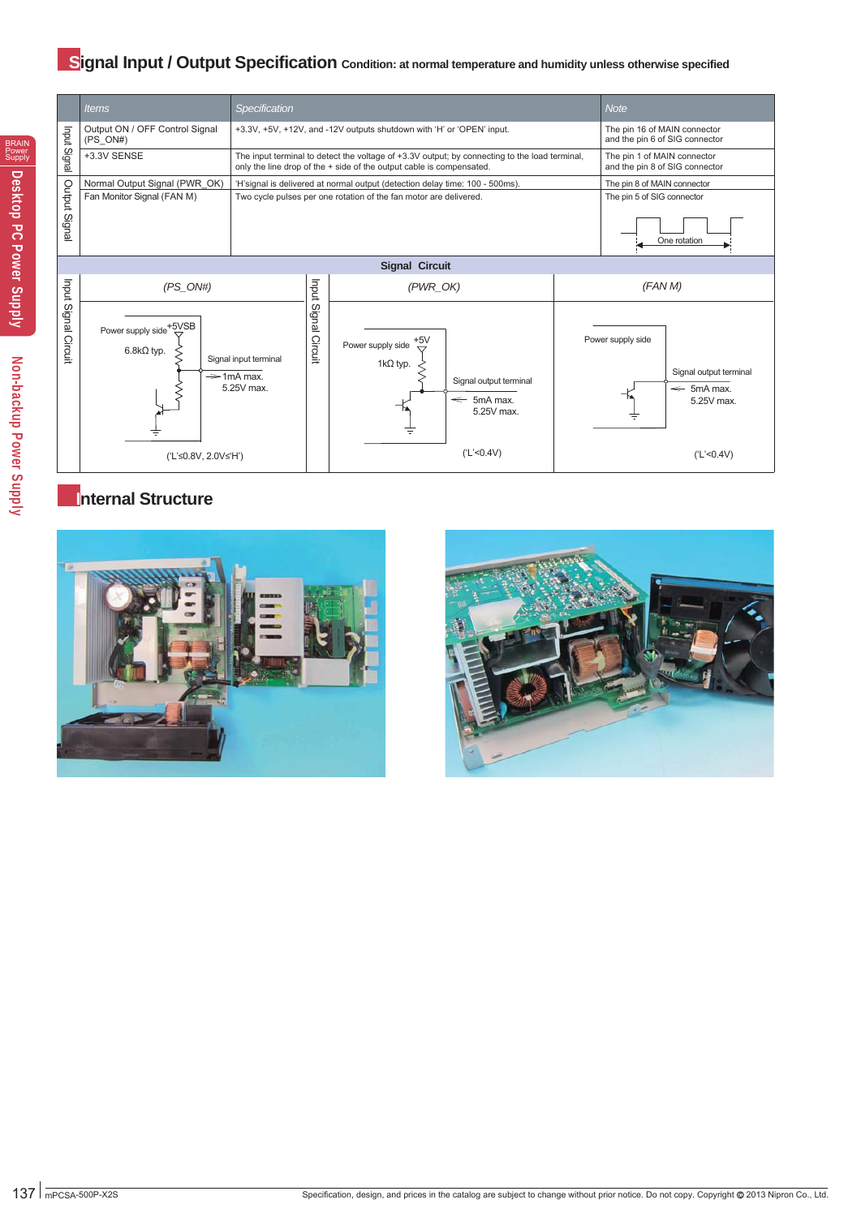## **Signal Input / Output Specification** condition: at normal temperature and humidity unless otherwise specified

5mA max. 5.25V max.





### **Internal Structure**





Power supply side

and the pin 6 of SIG connector

The pin 1 of MAIN connector and the pin 8 of SIG connector

One rotation

Signal output terminal  $\leftarrow$  5mA max. 5.25V max.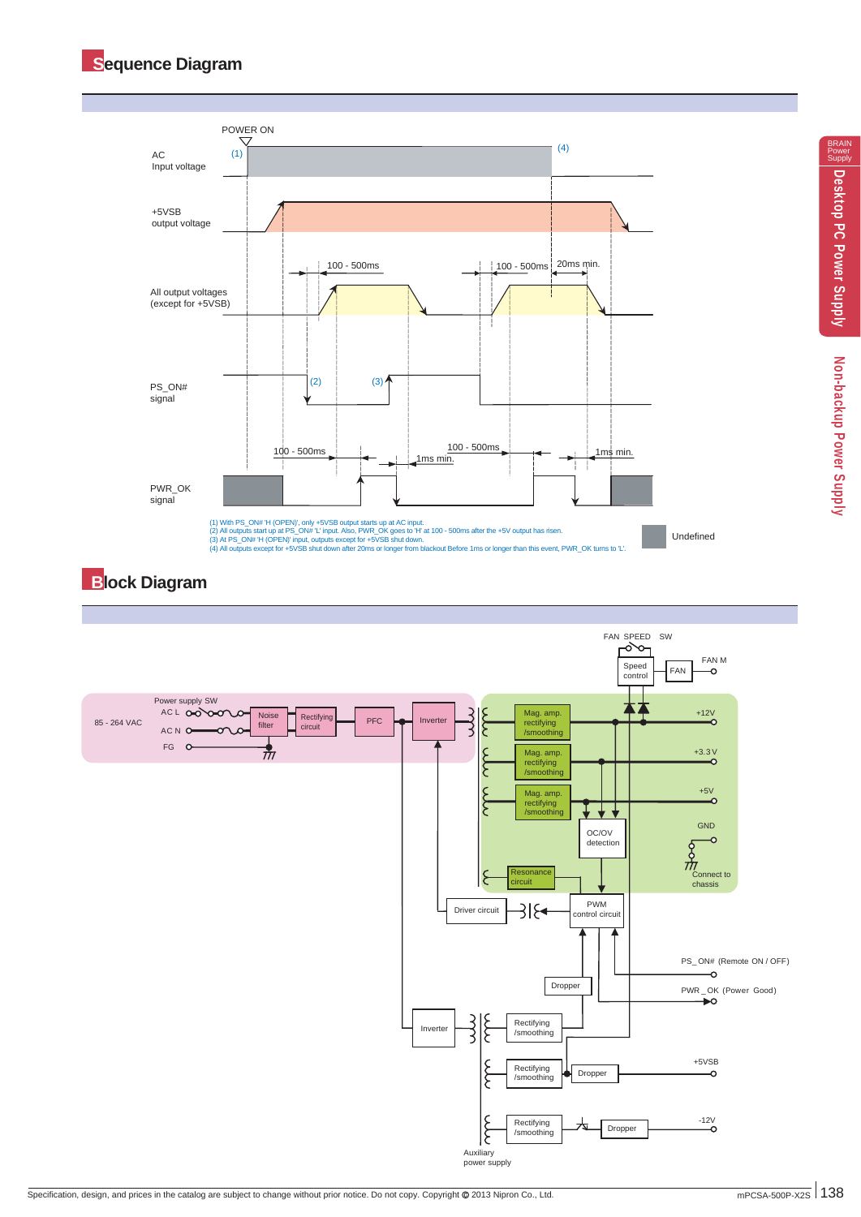

## **Block Diagram**

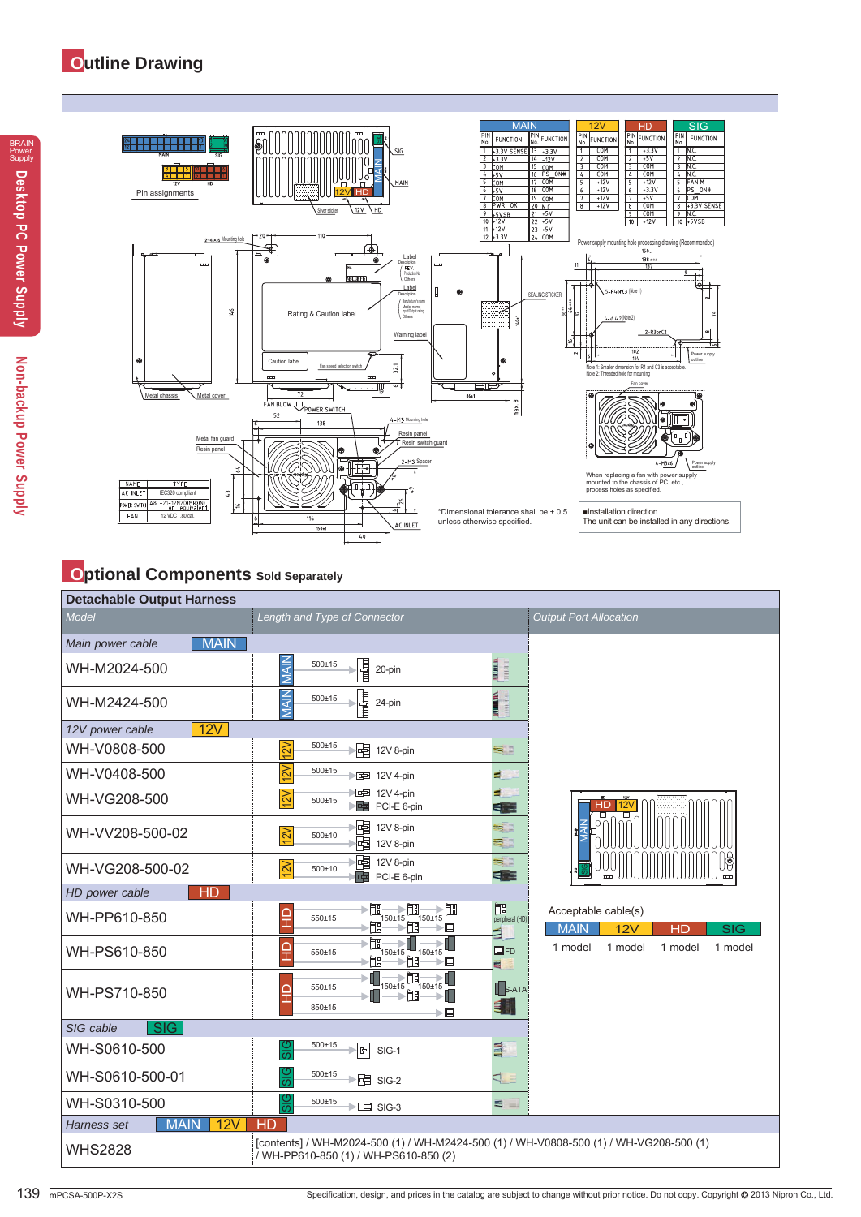

# **Optional Components** Sold Separately

| <b>Detachable Output Harness</b>     |                                                                                                                                 |                                        |                                                               |
|--------------------------------------|---------------------------------------------------------------------------------------------------------------------------------|----------------------------------------|---------------------------------------------------------------|
| Model                                | Length and Type of Connector                                                                                                    |                                        | <b>Output Port Allocation</b>                                 |
| <b>MAIN</b><br>Main power cable      |                                                                                                                                 |                                        |                                                               |
| WH-M2024-500                         | <b>MAIN</b><br>I<br>$500 + 15$<br>20-pin                                                                                        | mum<br>шкант                           |                                                               |
| WH-M2424-500                         | <b>MAIN</b><br>nn (born)<br>Tangkan ang<br>$500 + 15$<br>24-pin                                                                 | <b>WINDOW</b><br>inth <sub>o</sub> nes |                                                               |
| 12V<br>12V power cable               |                                                                                                                                 |                                        |                                                               |
| WH-V0808-500                         | 12V<br>$500 + 15$<br>唱<br>12V 8-pin                                                                                             | 51                                     |                                                               |
| WH-V0408-500                         | 12V<br>500±15<br>图 12V 4-pin                                                                                                    | в                                      |                                                               |
| WH-VG208-500                         | 图 12V 4-pin<br>12V<br>$500 + 15$<br>PCI-E 6-pin                                                                                 | E.<br>∈■                               | <b>HD</b><br>12V<br>ㅁ                                         |
| WH-VV208-500-02                      | 啫<br>12V 8-pin<br> 2V<br>500±10<br>啫<br>12V 8-pin                                                                               | 53<br>51                               | O(f)<br>₹                                                     |
| WH-VG208-500-02                      | 黾<br>12V 8-pin<br> 2V <br>$500 + 10$<br>卓<br>PCI-E 6-pin                                                                        | 53<br>毛面                               |                                                               |
| HD<br>HD power cable                 |                                                                                                                                 |                                        |                                                               |
| WH-PP610-850                         | 匍<br>→m<br>→‼‼<br>ç<br>150±15<br>150±15<br>550±15<br>i≍̀∏∃<br>▶️∐<br>≻⊑                                                         | 围<br>peripheral (HD)<br>Ξ              | Acceptable cable(s)<br><b>MAIN</b><br>12V<br><b>SIG</b><br>HD |
| WH-PS610-850                         | 怬<br>550±15<br>$150 + 15$<br>$150 \pm 15$<br>Τ<br>$\mathbb{R}$<br>匍<br>≻⊑                                                       | $\Box$ FD<br>$\blacksquare$            | 1 model<br>1 model<br>1 model<br>1 model                      |
| WH-PS710-850                         | ft<br>550±15<br>$150 \pm 15$<br>I<br>850±15<br>⋐                                                                                | $\mathsf{B}$ S-ATA<br>E I              |                                                               |
| $\overline{\text{SIG}}$<br>SIG cable |                                                                                                                                 |                                        |                                                               |
| WH-S0610-500                         | $500 + 15$<br>မ္တ<br>⊫lel<br>SIG-1                                                                                              | E.                                     |                                                               |
| WH-S0610-500-01                      | 500±15<br>$\blacktriangleright$ $\boxdot$ SIG-2                                                                                 | ₫                                      |                                                               |
| WH-S0310-500                         | $500 + 15$<br>$\blacktriangleright$ $\square$ SIG-3<br>τī                                                                       | е<br><b>Section</b>                    |                                                               |
| <b>MAIN</b><br>12V<br>Harness set    | <b>HD</b>                                                                                                                       |                                        |                                                               |
| <b>WHS2828</b>                       | [contents] / WH-M2024-500 (1) / WH-M2424-500 (1) / WH-V0808-500 (1) / WH-VG208-500 (1)<br>/ WH-PP610-850 (1) / WH-PS610-850 (2) |                                        |                                                               |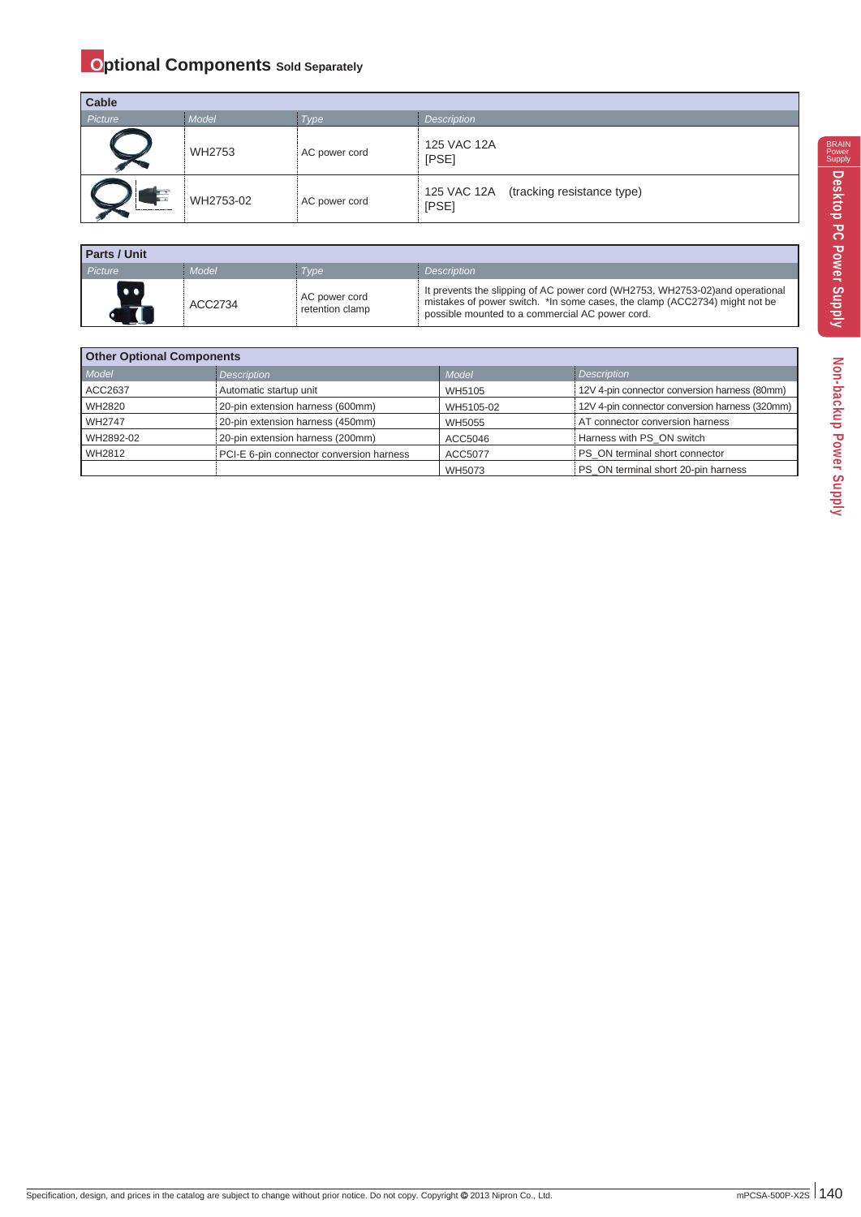## **Optional Components** Sold Separately

| Cable   |           |               |                                                 |
|---------|-----------|---------------|-------------------------------------------------|
| Picture | Model     | <b>Type</b>   | <b>Description</b>                              |
|         | WH2753    | AC power cord | 125 VAC 12A<br>[PSE]                            |
|         | WH2753-02 | AC power cord | 125 VAC 12A (tracking resistance type)<br>[PSE] |

| <b>Parts / Unit</b> |         |                                  |                                                                                                                                                                                                                |  |  |  |  |
|---------------------|---------|----------------------------------|----------------------------------------------------------------------------------------------------------------------------------------------------------------------------------------------------------------|--|--|--|--|
| Picture             | Model   | Tvpe                             | <b>Description</b>                                                                                                                                                                                             |  |  |  |  |
|                     | ACC2734 | AC power cord<br>retention clamp | It prevents the slipping of AC power cord (WH2753, WH2753-02) and operational<br>mistakes of power switch. *In some cases, the clamp (ACC2734) might not be<br>possible mounted to a commercial AC power cord. |  |  |  |  |

| <b>Other Optional Components</b> |                                          |           |                                                |  |  |  |
|----------------------------------|------------------------------------------|-----------|------------------------------------------------|--|--|--|
| Model                            | Description                              | Model     | <b>Description</b>                             |  |  |  |
| ACC2637                          | Automatic startup unit                   | WH5105    | 12V 4-pin connector conversion harness (80mm)  |  |  |  |
| <b>WH2820</b>                    | 20-pin extension harness (600mm)         | WH5105-02 | 12V 4-pin connector conversion harness (320mm) |  |  |  |
| <b>WH2747</b>                    | 20-pin extension harness (450mm)         | WH5055    | AT connector conversion harness                |  |  |  |
| WH2892-02                        | 20-pin extension harness (200mm)         | ACC5046   | Harness with PS ON switch                      |  |  |  |
| WH2812                           | PCI-E 6-pin connector conversion harness | ACC5077   | PS ON terminal short connector                 |  |  |  |
|                                  |                                          | WH5073    | PS ON terminal short 20-pin harness            |  |  |  |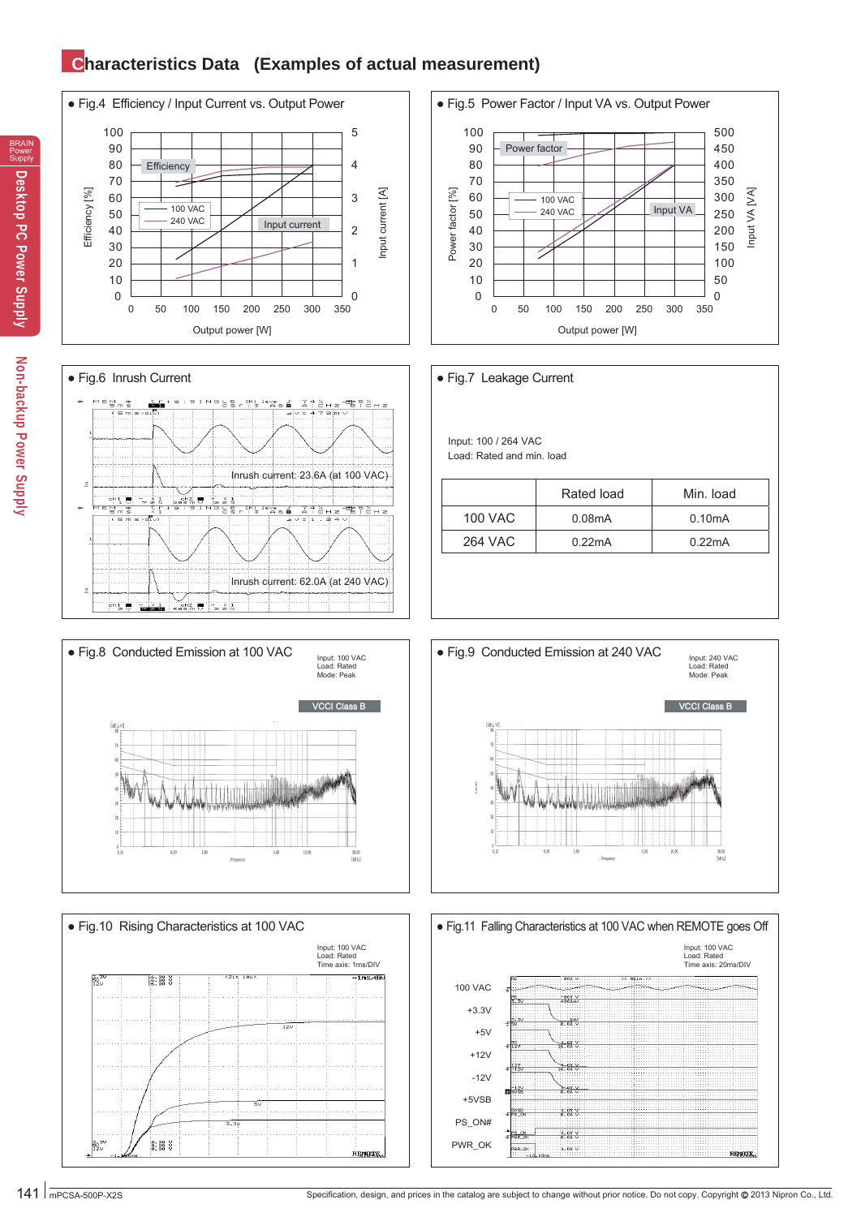## **Characteristics Data (Examples of actual measurement)**

















BRAIN Power Supply

# Non-backup Power Supply **Non-backup Power Supply**